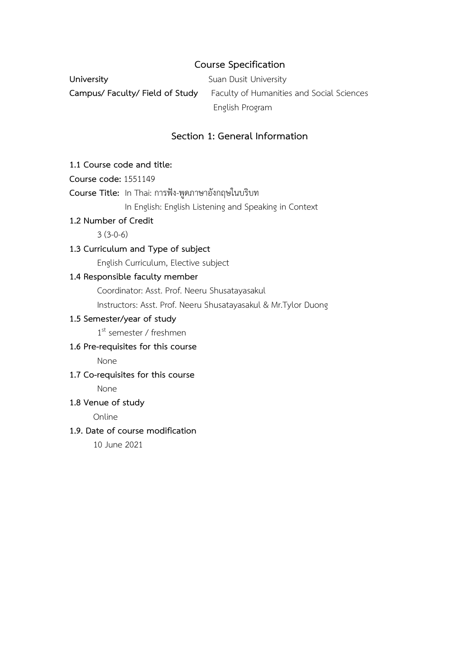## **Course Specification**

**University** Suan Dusit University **Campus/ Faculty/ Field of Study** Faculty of Humanities and Social Sciences English Program

### **Section 1: General Information**

#### **1.1 Course code and title:**

**Course code:** 1551149

## **Course Title:** In Thai: การฟัง-พูดภาษาอังกฤษในบริบท

In English: English Listening and Speaking in Context

#### **1.2 Number of Credit**

 $3(3-0-6)$ 

#### **1.3 Curriculum and Type of subject**

English Curriculum, Elective subject

#### **1.4 Responsible faculty member**

Coordinator: Asst. Prof. Neeru Shusatayasakul

Instructors: Asst. Prof. Neeru Shusatayasakul & Mr.Tylor Duong

## **1.5 Semester/year of study**

1<sup>st</sup> semester / freshmen

## **1.6 Pre-requisites for this course**

None

#### **1.7 Co-requisites for this course**

None

#### **1.8 Venue of study**

Online

#### **1.9. Date of course modification**

10 June 2021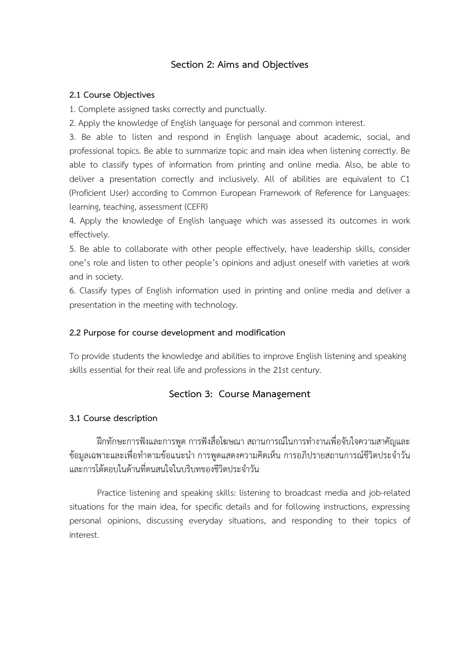## **Section 2: Aims and Objectives**

#### **2.1 Course Objectives**

1. Complete assigned tasks correctly and punctually.

2. Apply the knowledge of English language for personal and common interest.

3. Be able to listen and respond in English language about academic, social, and professional topics. Be able to summarize topic and main idea when listening correctly. Be able to classify types of information from printing and online media. Also, be able to deliver a presentation correctly and inclusively. All of abilities are equivalent to C1 (Proficient User) according to Common European Framework of Reference for Languages: learning, teaching, assessment (CEFR)

4. Apply the knowledge of English language which was assessed its outcomes in work effectively.

5. Be able to collaborate with other people effectively, have leadership skills, consider one's role and listen to other people's opinions and adjust oneself with varieties at work and in society.

6. Classify types of English information used in printing and online media and deliver a presentation in the meeting with technology.

#### **2.2 Purpose for course development and modification**

To provide students the knowledge and abilities to improve English listening and speaking skills essential for their real life and professions in the 21st century.

#### **Section 3: Course Management**

#### **3.1 Course description**

ฝึกทักษะการฟังและการพูด การฟังสื่อโฆษณา สถานการณ์ในการทำงานเพื่อจับใจความสาคัญและ ข้อมูลเฉพาะและเพื่อทำตามข้อแนะนำ การพูดแสดงความคิดเห็น การอภิปรายสถานการณ์ชีวิตประจำวัน และการโต้ตอบในด้านที่ตนสนใจในบริบทของชีวิตประจำวัน

Practice listening and speaking skills: listening to broadcast media and job-related situations for the main idea, for specific details and for following instructions, expressing personal opinions, discussing everyday situations, and responding to their topics of interest.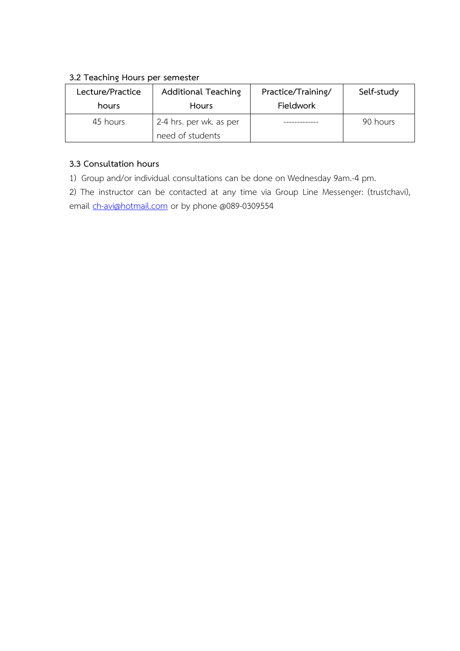## **3.2 Teaching Hours per semester**

| Lecture/Practice | <b>Additional Teaching</b> | Practice/Training/ | Self-study |
|------------------|----------------------------|--------------------|------------|
| hours            | <b>Hours</b>               | Fieldwork          |            |
| 45 hours         | 2-4 hrs. per wk. as per    |                    | 90 hours   |
|                  | need of students           |                    |            |

## **3.3 Consultation hours**

1) Group and/or individual consultations can be done on Wednesday 9am.-4 pm.

2) The instructor can be contacted at any time via Group Line Messenger: (trustchavi), email [ch-avi@hotmail.com](mailto:ch-avi@hotmail.com) or by phone @089-0309554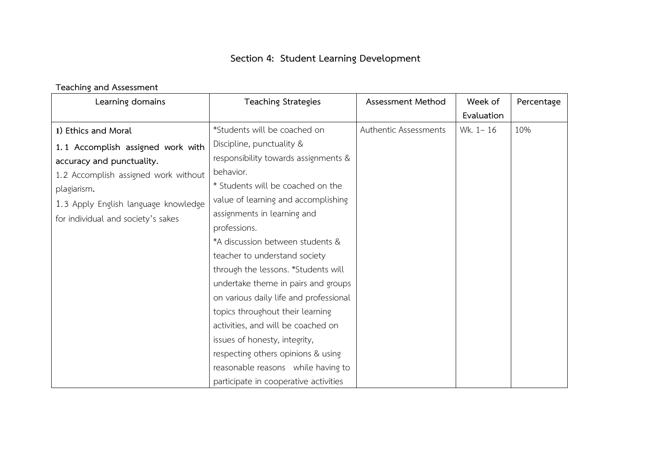# **Section 4: Student Learning Development**

## **Teaching and Assessment**

| Learning domains                     | <b>Teaching Strategies</b>             | Assessment Method     | Week of    | Percentage |
|--------------------------------------|----------------------------------------|-----------------------|------------|------------|
|                                      |                                        |                       | Evaluation |            |
| 1) Ethics and Moral                  | *Students will be coached on           | Authentic Assessments | Wk. 1-16   | 10%        |
| 1.1 Accomplish assigned work with    | Discipline, punctuality &              |                       |            |            |
| accuracy and punctuality.            | responsibility towards assignments &   |                       |            |            |
| 1.2 Accomplish assigned work without | behavior.                              |                       |            |            |
| plagiarism.                          | * Students will be coached on the      |                       |            |            |
| 1.3 Apply English language knowledge | value of learning and accomplishing    |                       |            |            |
| for individual and society's sakes   | assignments in learning and            |                       |            |            |
|                                      | professions.                           |                       |            |            |
|                                      | *A discussion between students &       |                       |            |            |
|                                      | teacher to understand society          |                       |            |            |
|                                      | through the lessons. *Students will    |                       |            |            |
|                                      | undertake theme in pairs and groups    |                       |            |            |
|                                      | on various daily life and professional |                       |            |            |
|                                      | topics throughout their learning       |                       |            |            |
|                                      | activities, and will be coached on     |                       |            |            |
|                                      | issues of honesty, integrity,          |                       |            |            |
|                                      | respecting others opinions & using     |                       |            |            |
|                                      | reasonable reasons while having to     |                       |            |            |
|                                      | participate in cooperative activities  |                       |            |            |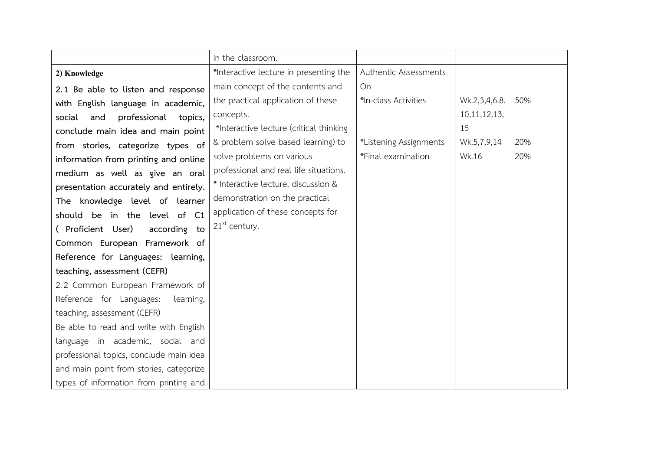|                                         | in the classroom.                       |                        |                 |     |
|-----------------------------------------|-----------------------------------------|------------------------|-----------------|-----|
| 2) Knowledge                            | *Interactive lecture in presenting the  | Authentic Assessments  |                 |     |
| 2.1 Be able to listen and response      | main concept of the contents and        | On                     |                 |     |
| with English language in academic,      | the practical application of these      | *In-class Activities   | Wk.2,3,4,6.8.   | 50% |
| professional topics,<br>social<br>and   | concepts.                               |                        | 10, 11, 12, 13, |     |
| conclude main idea and main point       | *Interactive lecture (critical thinking |                        | 15              |     |
| from stories, categorize types of       | & problem solve based learning) to      | *Listening Assignments | Wk.5,7,9,14     | 20% |
| information from printing and online    | solve problems on various               | *Final examination     | Wk.16           | 20% |
| medium as well as give an oral          | professional and real life situations.  |                        |                 |     |
| presentation accurately and entirely.   | * Interactive lecture, discussion &     |                        |                 |     |
| The knowledge level of learner          | demonstration on the practical          |                        |                 |     |
| should be in the level of C1            | application of these concepts for       |                        |                 |     |
| (Proficient User)<br>according to       | $21st$ century.                         |                        |                 |     |
| Common European Framework of            |                                         |                        |                 |     |
| Reference for Languages: learning,      |                                         |                        |                 |     |
| teaching, assessment (CEFR)             |                                         |                        |                 |     |
| 2.2 Common European Framework of        |                                         |                        |                 |     |
| Reference for Languages:<br>learning,   |                                         |                        |                 |     |
| teaching, assessment (CEFR)             |                                         |                        |                 |     |
| Be able to read and write with English  |                                         |                        |                 |     |
| language in academic, social and        |                                         |                        |                 |     |
| professional topics, conclude main idea |                                         |                        |                 |     |
| and main point from stories, categorize |                                         |                        |                 |     |
| types of information from printing and  |                                         |                        |                 |     |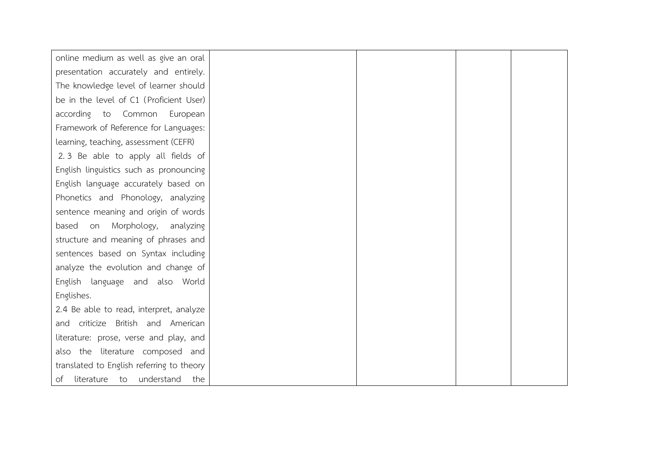| online medium as well as give an oral     |  |  |
|-------------------------------------------|--|--|
| presentation accurately and entirely.     |  |  |
| The knowledge level of learner should     |  |  |
| be in the level of C1 (Proficient User)   |  |  |
| according to Common<br>European           |  |  |
| Framework of Reference for Languages:     |  |  |
| learning, teaching, assessment (CEFR)     |  |  |
| 2.3 Be able to apply all fields of        |  |  |
| English linguistics such as pronouncing   |  |  |
| English language accurately based on      |  |  |
| Phonetics and Phonology, analyzing        |  |  |
| sentence meaning and origin of words      |  |  |
| Morphology, analyzing<br>based<br>on      |  |  |
| structure and meaning of phrases and      |  |  |
| sentences based on Syntax including       |  |  |
| analyze the evolution and change of       |  |  |
| English language and also World           |  |  |
| Englishes.                                |  |  |
| 2.4 Be able to read, interpret, analyze   |  |  |
| and criticize British and American        |  |  |
| literature: prose, verse and play, and    |  |  |
| also the literature composed and          |  |  |
| translated to English referring to theory |  |  |
| of literature to understand<br>the        |  |  |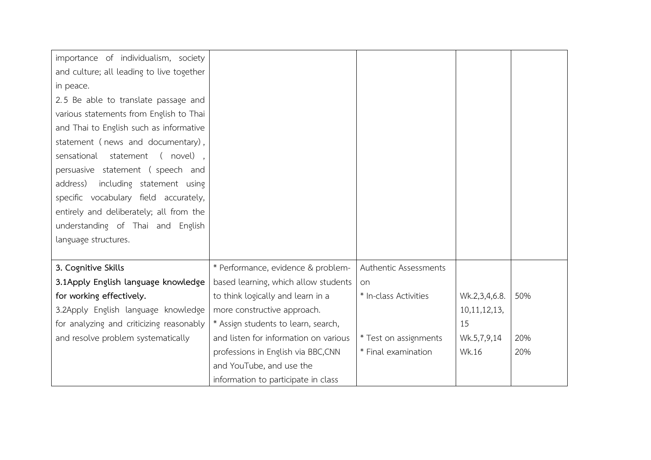| importance of individualism, society      |                                       |                       |                 |     |
|-------------------------------------------|---------------------------------------|-----------------------|-----------------|-----|
| and culture; all leading to live together |                                       |                       |                 |     |
| in peace.                                 |                                       |                       |                 |     |
| 2.5 Be able to translate passage and      |                                       |                       |                 |     |
| various statements from English to Thai   |                                       |                       |                 |     |
| and Thai to English such as informative   |                                       |                       |                 |     |
| statement (news and documentary),         |                                       |                       |                 |     |
| sensational<br>statement (novel),         |                                       |                       |                 |     |
| persuasive statement (speech and          |                                       |                       |                 |     |
| including statement using<br>address)     |                                       |                       |                 |     |
| specific vocabulary field accurately,     |                                       |                       |                 |     |
| entirely and deliberately; all from the   |                                       |                       |                 |     |
| understanding of Thai and English         |                                       |                       |                 |     |
| language structures.                      |                                       |                       |                 |     |
|                                           |                                       |                       |                 |     |
| 3. Cognitive Skills                       | * Performance, evidence & problem-    | Authentic Assessments |                 |     |
| 3.1Apply English language knowledge       | based learning, which allow students  | on                    |                 |     |
| for working effectively.                  | to think logically and learn in a     | * In-class Activities | Wk.2,3,4,6.8.   | 50% |
| 3.2Apply English language knowledge       | more constructive approach.           |                       | 10, 11, 12, 13, |     |
| for analyzing and criticizing reasonably  | * Assign students to learn, search,   |                       | 15              |     |
| and resolve problem systematically        | and listen for information on various | * Test on assignments | Wk.5,7,9,14     | 20% |
|                                           | professions in English via BBC, CNN   | * Final examination   | Wk.16           | 20% |
|                                           | and YouTube, and use the              |                       |                 |     |
|                                           | information to participate in class   |                       |                 |     |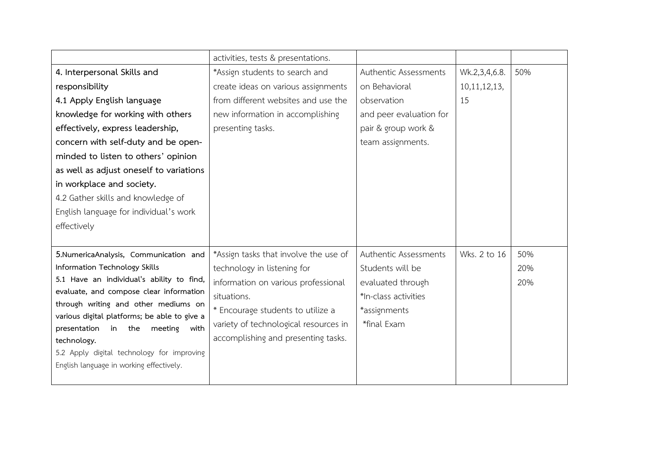|                                                       | activities, tests & presentations.    |                         |                 |     |
|-------------------------------------------------------|---------------------------------------|-------------------------|-----------------|-----|
| 4. Interpersonal Skills and                           | *Assign students to search and        | Authentic Assessments   | Wk.2,3,4,6.8.   | 50% |
| responsibility                                        | create ideas on various assignments   | on Behavioral           | 10, 11, 12, 13, |     |
| 4.1 Apply English language                            | from different websites and use the   | observation             | 15              |     |
| knowledge for working with others                     | new information in accomplishing      | and peer evaluation for |                 |     |
| effectively, express leadership,                      | presenting tasks.                     | pair & group work &     |                 |     |
| concern with self-duty and be open-                   |                                       | team assignments.       |                 |     |
| minded to listen to others' opinion                   |                                       |                         |                 |     |
| as well as adjust oneself to variations               |                                       |                         |                 |     |
| in workplace and society.                             |                                       |                         |                 |     |
| 4.2 Gather skills and knowledge of                    |                                       |                         |                 |     |
| English language for individual's work                |                                       |                         |                 |     |
| effectively                                           |                                       |                         |                 |     |
|                                                       |                                       |                         |                 |     |
|                                                       |                                       |                         |                 |     |
| 5.NumericaAnalysis, Communication and                 | *Assign tasks that involve the use of | Authentic Assessments   | Wks. 2 to 16    | 50% |
| Information Technology Skills                         | technology in listening for           | Students will be        |                 | 20% |
| 5.1 Have an individual's ability to find,             | information on various professional   | evaluated through       |                 | 20% |
| evaluate, and compose clear information               | situations.                           | *In-class activities    |                 |     |
| through writing and other mediums on                  | * Encourage students to utilize a     | *assignments            |                 |     |
| various digital platforms; be able to give a          | variety of technological resources in | *final Exam             |                 |     |
| presentation<br>in the<br>meeting with<br>technology. | accomplishing and presenting tasks.   |                         |                 |     |
| 5.2 Apply digital technology for improving            |                                       |                         |                 |     |
| English language in working effectively.              |                                       |                         |                 |     |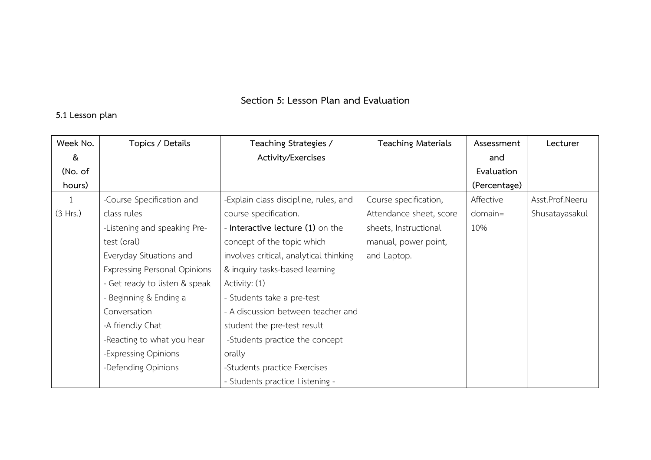## **Section 5: Lesson Plan and Evaluation**

## **5.1 Lesson plan**

| Week No. | Topics / Details                    | Teaching Strategies /                  | <b>Teaching Materials</b> | Assessment   | Lecturer        |
|----------|-------------------------------------|----------------------------------------|---------------------------|--------------|-----------------|
| &        |                                     | Activity/Exercises                     |                           | and          |                 |
| (No. of  |                                     |                                        |                           | Evaluation   |                 |
| hours)   |                                     |                                        |                           | (Percentage) |                 |
| 1        | -Course Specification and           | -Explain class discipline, rules, and  | Course specification,     | Affective    | Asst.Prof.Neeru |
| (3 Hrs.) | class rules                         | course specification.                  | Attendance sheet, score   | domain=      | Shusatayasakul  |
|          | -Listening and speaking Pre-        | - Interactive lecture (1) on the       | sheets, Instructional     | 10%          |                 |
|          | test (oral)                         | concept of the topic which             | manual, power point,      |              |                 |
|          | Everyday Situations and             | involves critical, analytical thinking | and Laptop.               |              |                 |
|          | <b>Expressing Personal Opinions</b> | & inquiry tasks-based learning         |                           |              |                 |
|          | - Get ready to listen & speak       | Activity: (1)                          |                           |              |                 |
|          | - Beginning & Ending a              | - Students take a pre-test             |                           |              |                 |
|          | Conversation                        | - A discussion between teacher and     |                           |              |                 |
|          | -A friendly Chat                    | student the pre-test result            |                           |              |                 |
|          | -Reacting to what you hear          | -Students practice the concept         |                           |              |                 |
|          | -Expressing Opinions                | orally                                 |                           |              |                 |
|          | -Defending Opinions                 | -Students practice Exercises           |                           |              |                 |
|          |                                     | - Students practice Listening -        |                           |              |                 |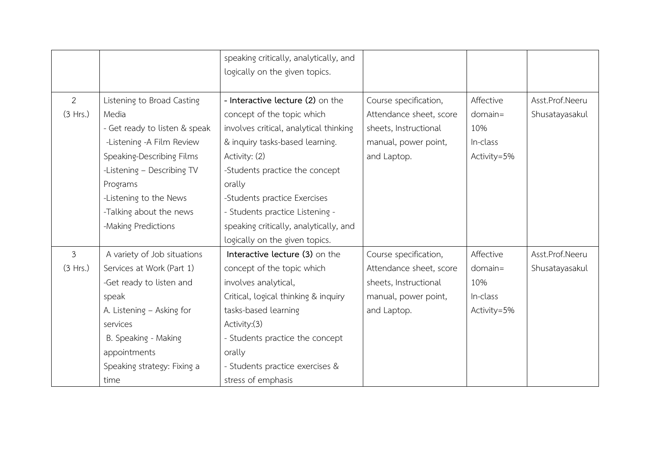|                |                               | speaking critically, analytically, and |                         |             |                 |
|----------------|-------------------------------|----------------------------------------|-------------------------|-------------|-----------------|
|                |                               | logically on the given topics.         |                         |             |                 |
|                |                               |                                        |                         |             |                 |
| $\overline{2}$ | Listening to Broad Casting    | - Interactive lecture (2) on the       | Course specification,   | Affective   | Asst.Prof.Neeru |
| (3 Hrs.)       | Media                         | concept of the topic which             | Attendance sheet, score | $domain =$  | Shusatayasakul  |
|                | - Get ready to listen & speak | involves critical, analytical thinking | sheets, Instructional   | 10%         |                 |
|                | -Listening -A Film Review     | & inquiry tasks-based learning.        | manual, power point,    | In-class    |                 |
|                | Speaking-Describing Films     | Activity: (2)                          | and Laptop.             | Activity=5% |                 |
|                | -Listening - Describing TV    | -Students practice the concept         |                         |             |                 |
|                | Programs                      | orally                                 |                         |             |                 |
|                | -Listening to the News        | -Students practice Exercises           |                         |             |                 |
|                | -Talking about the news       | - Students practice Listening -        |                         |             |                 |
|                | -Making Predictions           | speaking critically, analytically, and |                         |             |                 |
|                |                               | logically on the given topics.         |                         |             |                 |
| $\overline{3}$ | A variety of Job situations   | Interactive lecture (3) on the         | Course specification,   | Affective   | Asst.Prof.Neeru |
| (3 Hrs.)       | Services at Work (Part 1)     | concept of the topic which             | Attendance sheet, score | $domain =$  | Shusatayasakul  |
|                | -Get ready to listen and      | involves analytical,                   | sheets, Instructional   | 10%         |                 |
|                | speak                         | Critical, logical thinking & inquiry   | manual, power point,    | In-class    |                 |
|                | A. Listening - Asking for     | tasks-based learning                   | and Laptop.             | Activity=5% |                 |
|                | services                      | Activity:(3)                           |                         |             |                 |
|                | B. Speaking - Making          | - Students practice the concept        |                         |             |                 |
|                | appointments                  | orally                                 |                         |             |                 |
|                | Speaking strategy: Fixing a   | - Students practice exercises &        |                         |             |                 |
|                | time                          | stress of emphasis                     |                         |             |                 |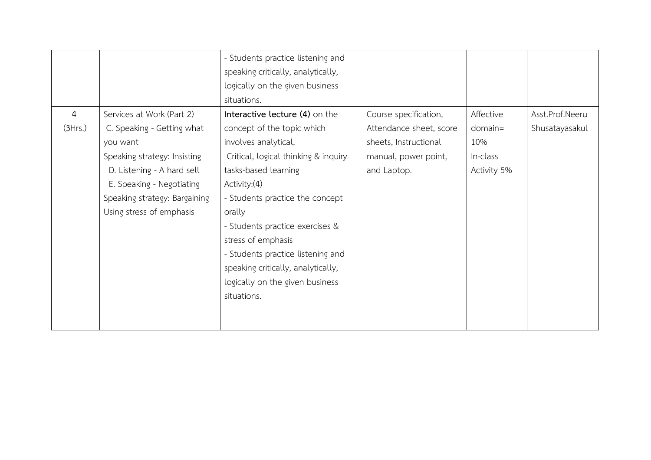|                |                               | - Students practice listening and    |                         |             |                 |
|----------------|-------------------------------|--------------------------------------|-------------------------|-------------|-----------------|
|                |                               | speaking critically, analytically,   |                         |             |                 |
|                |                               | logically on the given business      |                         |             |                 |
|                |                               | situations.                          |                         |             |                 |
| $\overline{4}$ | Services at Work (Part 2)     | Interactive lecture (4) on the       | Course specification,   | Affective   | Asst.Prof.Neeru |
| (3Hrs.)        | C. Speaking - Getting what    | concept of the topic which           | Attendance sheet, score | $domain =$  | Shusatayasakul  |
|                | you want                      | involves analytical,                 | sheets, Instructional   | 10%         |                 |
|                | Speaking strategy: Insisting  | Critical, logical thinking & inquiry | manual, power point,    | In-class    |                 |
|                | D. Listening - A hard sell    | tasks-based learning                 | and Laptop.             | Activity 5% |                 |
|                | E. Speaking - Negotiating     | Activity: (4)                        |                         |             |                 |
|                | Speaking strategy: Bargaining | - Students practice the concept      |                         |             |                 |
|                | Using stress of emphasis      | orally                               |                         |             |                 |
|                |                               | - Students practice exercises &      |                         |             |                 |
|                |                               | stress of emphasis                   |                         |             |                 |
|                |                               | - Students practice listening and    |                         |             |                 |
|                |                               | speaking critically, analytically,   |                         |             |                 |
|                |                               | logically on the given business      |                         |             |                 |
|                |                               | situations.                          |                         |             |                 |
|                |                               |                                      |                         |             |                 |
|                |                               |                                      |                         |             |                 |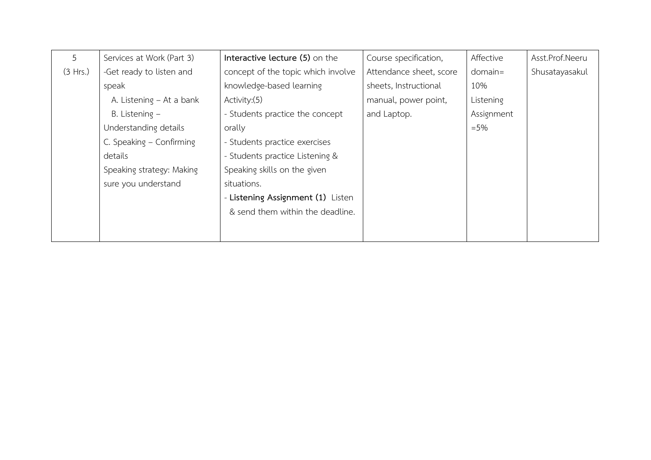| 5        | Services at Work (Part 3) | Interactive lecture (5) on the     | Course specification,   | Affective  | Asst.Prof.Neeru |
|----------|---------------------------|------------------------------------|-------------------------|------------|-----------------|
| (3 Hrs.) | -Get ready to listen and  | concept of the topic which involve | Attendance sheet, score | $domain =$ | Shusatayasakul  |
|          | speak                     | knowledge-based learning           | sheets, Instructional   | 10%        |                 |
|          | A. Listening – At a bank  | Activity: (5)                      | manual, power point,    | Listening  |                 |
|          | B. Listening $-$          | - Students practice the concept    | and Laptop.             | Assignment |                 |
|          | Understanding details     | orally                             |                         | $= 5%$     |                 |
|          | C. Speaking - Confirming  | - Students practice exercises      |                         |            |                 |
|          | details                   | - Students practice Listening &    |                         |            |                 |
|          | Speaking strategy: Making | Speaking skills on the given       |                         |            |                 |
|          | sure you understand       | situations.                        |                         |            |                 |
|          |                           | - Listening Assignment (1) Listen  |                         |            |                 |
|          |                           | & send them within the deadline.   |                         |            |                 |
|          |                           |                                    |                         |            |                 |
|          |                           |                                    |                         |            |                 |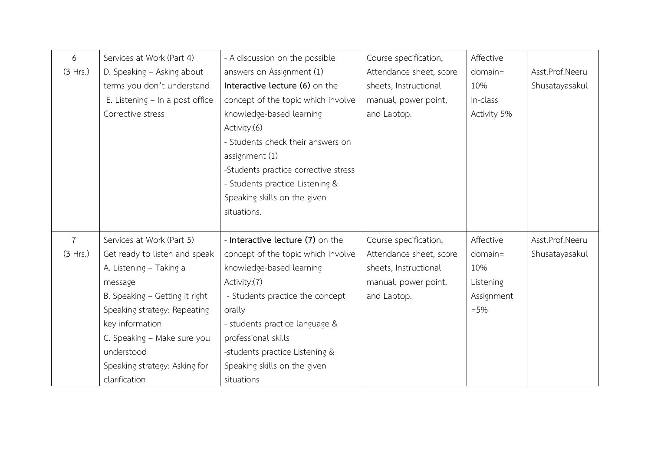| 6              | Services at Work (Part 4)       | - A discussion on the possible       | Course specification,   | Affective   |                 |
|----------------|---------------------------------|--------------------------------------|-------------------------|-------------|-----------------|
| (3 Hrs.)       | D. Speaking - Asking about      | answers on Assignment (1)            | Attendance sheet, score | $domain =$  | Asst.Prof.Neeru |
|                | terms you don't understand      | Interactive lecture (6) on the       | sheets, Instructional   | 10%         | Shusatayasakul  |
|                | E. Listening - In a post office | concept of the topic which involve   | manual, power point,    | In-class    |                 |
|                | Corrective stress               | knowledge-based learning             | and Laptop.             | Activity 5% |                 |
|                |                                 | Activity:(6)                         |                         |             |                 |
|                |                                 | - Students check their answers on    |                         |             |                 |
|                |                                 | assignment (1)                       |                         |             |                 |
|                |                                 | -Students practice corrective stress |                         |             |                 |
|                |                                 | - Students practice Listening &      |                         |             |                 |
|                |                                 | Speaking skills on the given         |                         |             |                 |
|                |                                 | situations.                          |                         |             |                 |
|                |                                 |                                      |                         |             |                 |
| $\overline{7}$ | Services at Work (Part 5)       | - Interactive lecture (7) on the     | Course specification,   | Affective   | Asst.Prof.Neeru |
| (3 Hrs.)       | Get ready to listen and speak   | concept of the topic which involve   | Attendance sheet, score | $domain =$  | Shusatayasakul  |
|                | A. Listening - Taking a         | knowledge-based learning             | sheets, Instructional   | 10%         |                 |
|                | message                         | Activity:(7)                         | manual, power point,    | Listening   |                 |
|                | B. Speaking - Getting it right  | - Students practice the concept      | and Laptop.             | Assignment  |                 |
|                | Speaking strategy: Repeating    | orally                               |                         | $= 5%$      |                 |
|                | key information                 | - students practice language &       |                         |             |                 |
|                | C. Speaking - Make sure you     | professional skills                  |                         |             |                 |
|                | understood                      | -students practice Listening &       |                         |             |                 |
|                | Speaking strategy: Asking for   | Speaking skills on the given         |                         |             |                 |
|                | clarification                   | situations                           |                         |             |                 |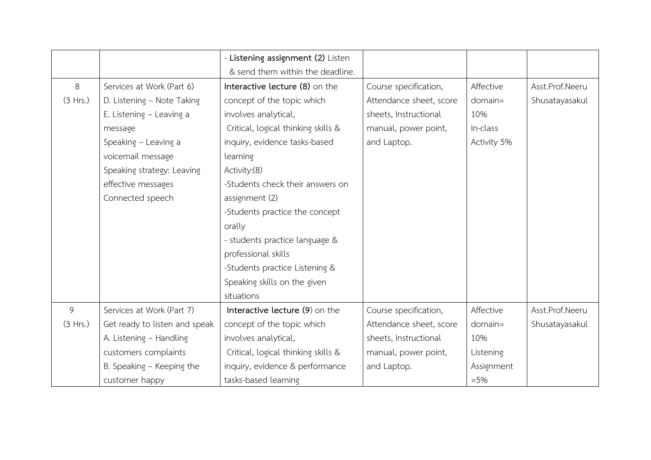|          |                               | - Listening assignment (2) Listen   |                         |             |                 |
|----------|-------------------------------|-------------------------------------|-------------------------|-------------|-----------------|
|          |                               | & send them within the deadline.    |                         |             |                 |
| 8        | Services at Work (Part 6)     | Interactive lecture (8) on the      | Course specification,   | Affective   | Asst.Prof.Neeru |
| (3 Hrs.) | D. Listening - Note Taking    | concept of the topic which          | Attendance sheet, score | $domain =$  | Shusatayasakul  |
|          | E. Listening - Leaving a      | involves analytical,                | sheets, Instructional   | 10%         |                 |
|          | message                       | Critical, logical thinking skills & | manual, power point,    | In-class    |                 |
|          | Speaking - Leaving a          | inquiry, evidence tasks-based       | and Laptop.             | Activity 5% |                 |
|          | voicemail message             | learning                            |                         |             |                 |
|          | Speaking strategy: Leaving    | Activity:(8)                        |                         |             |                 |
|          | effective messages            | -Students check their answers on    |                         |             |                 |
|          | Connected speech              | assignment (2)                      |                         |             |                 |
|          |                               | -Students practice the concept      |                         |             |                 |
|          |                               | orally                              |                         |             |                 |
|          |                               | - students practice language &      |                         |             |                 |
|          |                               | professional skills                 |                         |             |                 |
|          |                               | -Students practice Listening &      |                         |             |                 |
|          |                               | Speaking skills on the given        |                         |             |                 |
|          |                               | situations                          |                         |             |                 |
| 9        | Services at Work (Part 7)     | Interactive lecture (9) on the      | Course specification,   | Affective   | Asst.Prof.Neeru |
| (3 Hrs.) | Get ready to listen and speak | concept of the topic which          | Attendance sheet, score | $domain =$  | Shusatayasakul  |
|          | A. Listening - Handling       | involves analytical,                | sheets, Instructional   | 10%         |                 |
|          | customers complaints          | Critical, logical thinking skills & | manual, power point,    | Listening   |                 |
|          | B. Speaking - Keeping the     | inquiry, evidence & performance     | and Laptop.             | Assignment  |                 |
|          | customer happy                | tasks-based learning                |                         | $= 5%$      |                 |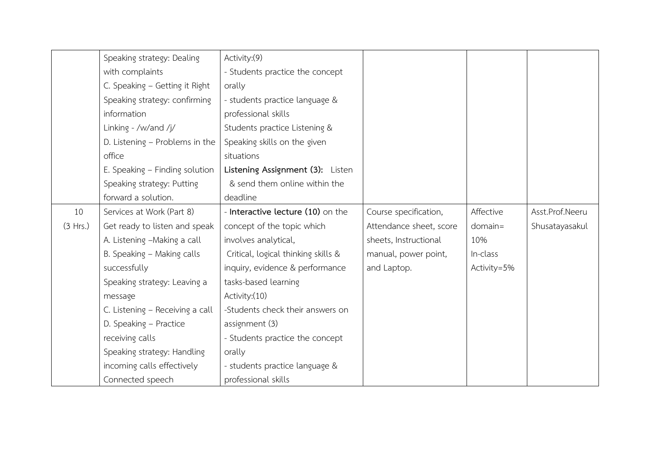|          | Speaking strategy: Dealing      | Activity: (9)                       |                         |             |                 |
|----------|---------------------------------|-------------------------------------|-------------------------|-------------|-----------------|
|          | with complaints                 | - Students practice the concept     |                         |             |                 |
|          | C. Speaking - Getting it Right  | orally                              |                         |             |                 |
|          | Speaking strategy: confirming   | - students practice language &      |                         |             |                 |
|          | information                     | professional skills                 |                         |             |                 |
|          | Linking - /w/and /j/            | Students practice Listening &       |                         |             |                 |
|          | D. Listening - Problems in the  | Speaking skills on the given        |                         |             |                 |
|          | office                          | situations                          |                         |             |                 |
|          | E. Speaking - Finding solution  | Listening Assignment (3): Listen    |                         |             |                 |
|          | Speaking strategy: Putting      | & send them online within the       |                         |             |                 |
|          | forward a solution.             | deadline                            |                         |             |                 |
| 10       | Services at Work (Part 8)       | - Interactive lecture (10) on the   | Course specification,   | Affective   | Asst.Prof.Neeru |
| (3 Hrs.) | Get ready to listen and speak   | concept of the topic which          | Attendance sheet, score | $domain =$  | Shusatayasakul  |
|          | A. Listening -Making a call     | involves analytical,                | sheets, Instructional   | 10%         |                 |
|          | B. Speaking - Making calls      | Critical, logical thinking skills & | manual, power point,    | In-class    |                 |
|          | successfully                    | inquiry, evidence & performance     | and Laptop.             | Activity=5% |                 |
|          | Speaking strategy: Leaving a    | tasks-based learning                |                         |             |                 |
|          | message                         | Activity: (10)                      |                         |             |                 |
|          | C. Listening - Receiving a call | -Students check their answers on    |                         |             |                 |
|          | D. Speaking - Practice          | assignment (3)                      |                         |             |                 |
|          | receiving calls                 | - Students practice the concept     |                         |             |                 |
|          | Speaking strategy: Handling     | orally                              |                         |             |                 |
|          | incoming calls effectively      | - students practice language &      |                         |             |                 |
|          | Connected speech                | professional skills                 |                         |             |                 |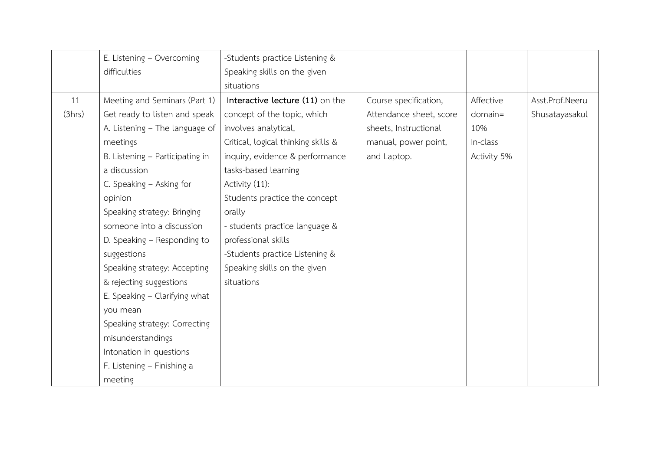|        | E. Listening - Overcoming       | -Students practice Listening &      |                         |             |                 |
|--------|---------------------------------|-------------------------------------|-------------------------|-------------|-----------------|
|        | difficulties                    | Speaking skills on the given        |                         |             |                 |
|        |                                 | situations                          |                         |             |                 |
| 11     | Meeting and Seminars (Part 1)   | Interactive lecture (11) on the     | Course specification,   | Affective   | Asst.Prof.Neeru |
| (3hrs) | Get ready to listen and speak   | concept of the topic, which         | Attendance sheet, score | $domain =$  | Shusatayasakul  |
|        | A. Listening - The language of  | involves analytical,                | sheets, Instructional   | 10%         |                 |
|        | meetings                        | Critical, logical thinking skills & | manual, power point,    | In-class    |                 |
|        | B. Listening - Participating in | inquiry, evidence & performance     | and Laptop.             | Activity 5% |                 |
|        | a discussion                    | tasks-based learning                |                         |             |                 |
|        | C. Speaking - Asking for        | Activity (11):                      |                         |             |                 |
|        | opinion                         | Students practice the concept       |                         |             |                 |
|        | Speaking strategy: Bringing     | orally                              |                         |             |                 |
|        | someone into a discussion       | - students practice language &      |                         |             |                 |
|        | D. Speaking - Responding to     | professional skills                 |                         |             |                 |
|        | suggestions                     | -Students practice Listening &      |                         |             |                 |
|        | Speaking strategy: Accepting    | Speaking skills on the given        |                         |             |                 |
|        | & rejecting suggestions         | situations                          |                         |             |                 |
|        | E. Speaking - Clarifying what   |                                     |                         |             |                 |
|        | you mean                        |                                     |                         |             |                 |
|        | Speaking strategy: Correcting   |                                     |                         |             |                 |
|        | misunderstandings               |                                     |                         |             |                 |
|        | Intonation in questions         |                                     |                         |             |                 |
|        | F. Listening - Finishing a      |                                     |                         |             |                 |
|        | meeting                         |                                     |                         |             |                 |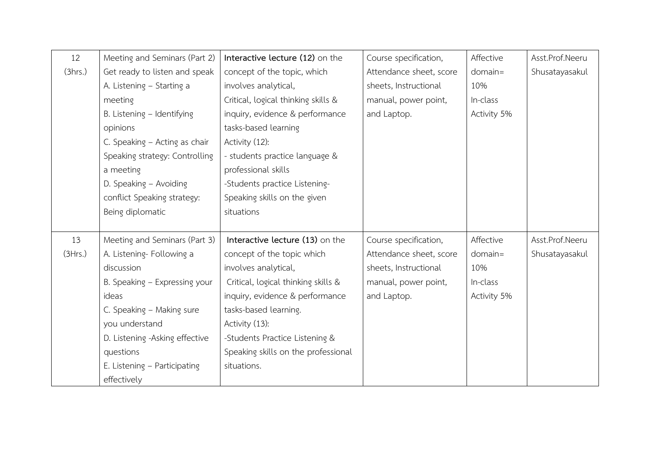| 12      | Meeting and Seminars (Part 2)  | Interactive lecture (12) on the     | Course specification,   | Affective   | Asst.Prof.Neeru |
|---------|--------------------------------|-------------------------------------|-------------------------|-------------|-----------------|
| (3hrs.) | Get ready to listen and speak  | concept of the topic, which         | Attendance sheet, score | $domain =$  | Shusatayasakul  |
|         | A. Listening - Starting a      | involves analytical,                | sheets, Instructional   | 10%         |                 |
|         | meeting                        | Critical, logical thinking skills & | manual, power point,    | In-class    |                 |
|         | B. Listening - Identifying     | inquiry, evidence & performance     | and Laptop.             | Activity 5% |                 |
|         | opinions                       | tasks-based learning                |                         |             |                 |
|         | C. Speaking - Acting as chair  | Activity (12):                      |                         |             |                 |
|         | Speaking strategy: Controlling | - students practice language &      |                         |             |                 |
|         | a meeting                      | professional skills                 |                         |             |                 |
|         | D. Speaking - Avoiding         | -Students practice Listening-       |                         |             |                 |
|         | conflict Speaking strategy:    | Speaking skills on the given        |                         |             |                 |
|         | Being diplomatic               | situations                          |                         |             |                 |
|         |                                |                                     |                         |             |                 |
| 13      | Meeting and Seminars (Part 3)  | Interactive lecture (13) on the     | Course specification,   | Affective   | Asst.Prof.Neeru |
| (3Hrs.) | A. Listening- Following a      | concept of the topic which          | Attendance sheet, score | $domain =$  | Shusatayasakul  |
|         | discussion                     | involves analytical,                | sheets, Instructional   | 10%         |                 |
|         | B. Speaking - Expressing your  | Critical, logical thinking skills & | manual, power point,    | In-class    |                 |
|         | ideas                          | inquiry, evidence & performance     | and Laptop.             | Activity 5% |                 |
|         | C. Speaking - Making sure      | tasks-based learning.               |                         |             |                 |
|         | you understand                 | Activity (13):                      |                         |             |                 |
|         | D. Listening -Asking effective | -Students Practice Listening &      |                         |             |                 |
|         | questions                      | Speaking skills on the professional |                         |             |                 |
|         | E. Listening - Participating   | situations.                         |                         |             |                 |
|         | effectively                    |                                     |                         |             |                 |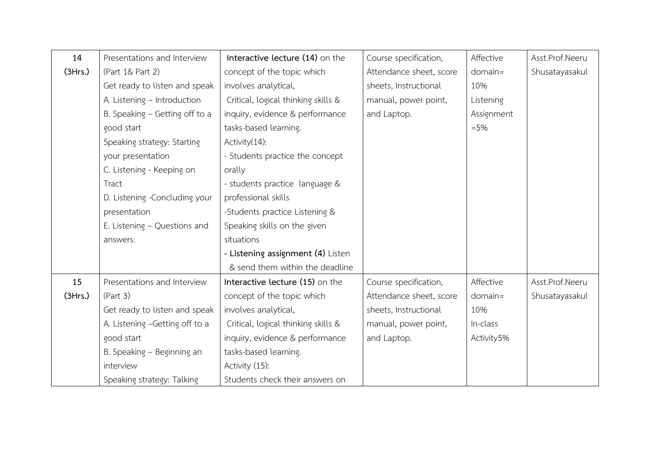| 14      | Presentations and Interview    | Interactive lecture (14) on the     | Course specification,   | Affective  | Asst.Prof.Neeru |
|---------|--------------------------------|-------------------------------------|-------------------------|------------|-----------------|
| (3Hrs.) | (Part 1& Part 2)               | concept of the topic which          | Attendance sheet, score | $domain =$ | Shusatayasakul  |
|         | Get ready to listen and speak  | involves analytical,                | sheets, Instructional   | 10%        |                 |
|         | A. Listening - Introduction    | Critical, logical thinking skills & | manual, power point,    | Listening  |                 |
|         | B. Speaking - Getting off to a | inquiry, evidence & performance     | and Laptop.             | Assignment |                 |
|         | good start                     | tasks-based learning.               |                         | $= 5%$     |                 |
|         | Speaking strategy: Starting    | Activity(14):                       |                         |            |                 |
|         | your presentation              | - Students practice the concept     |                         |            |                 |
|         | C. Listening - Keeping on      | orally                              |                         |            |                 |
|         | Tract                          | - students practice language &      |                         |            |                 |
|         | D. Listening -Concluding your  | professional skills                 |                         |            |                 |
|         | presentation                   | -Students practice Listening &      |                         |            |                 |
|         | E. Listening - Questions and   | Speaking skills on the given        |                         |            |                 |
|         | answers.                       | situations                          |                         |            |                 |
|         |                                | - Listening assignment (4) Listen   |                         |            |                 |
|         |                                | & send them within the deadline     |                         |            |                 |
| 15      | Presentations and Interview    | Interactive lecture (15) on the     | Course specification,   | Affective  | Asst.Prof.Neeru |
| (3Hrs.) | (Part 3)                       | concept of the topic which          | Attendance sheet, score | $domain =$ | Shusatayasakul  |
|         | Get ready to listen and speak  | involves analytical,                | sheets, Instructional   | 10%        |                 |
|         | A. Listening -Getting off to a | Critical, logical thinking skills & | manual, power point,    | In-class   |                 |
|         | good start                     | inquiry, evidence & performance     | and Laptop.             | Activity5% |                 |
|         | B. Speaking - Beginning an     | tasks-based learning.               |                         |            |                 |
|         | interview                      | Activity (15):                      |                         |            |                 |
|         | Speaking strategy: Talking     | Students check their answers on     |                         |            |                 |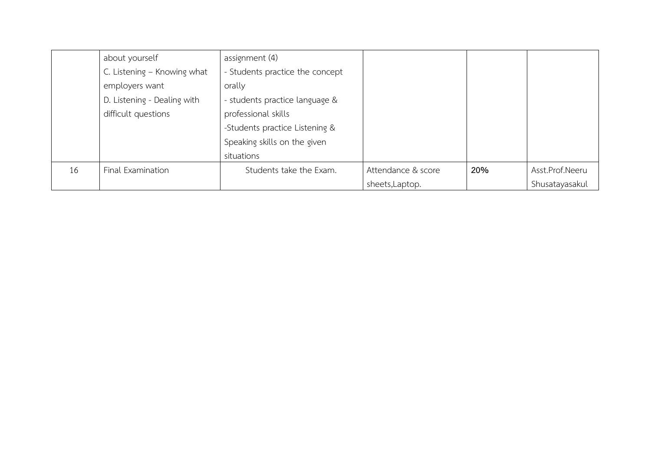|    | about yourself              | assignment (4)                  |                    |     |                 |
|----|-----------------------------|---------------------------------|--------------------|-----|-----------------|
|    | C. Listening - Knowing what | - Students practice the concept |                    |     |                 |
|    | employers want              | orally                          |                    |     |                 |
|    | D. Listening - Dealing with | - students practice language &  |                    |     |                 |
|    | difficult questions         | professional skills             |                    |     |                 |
|    |                             | -Students practice Listening &  |                    |     |                 |
|    |                             | Speaking skills on the given    |                    |     |                 |
|    |                             | situations                      |                    |     |                 |
| 16 | Final Examination           | Students take the Exam.         | Attendance & score | 20% | Asst.Prof.Neeru |
|    |                             |                                 | sheets, Laptop.    |     | Shusatayasakul  |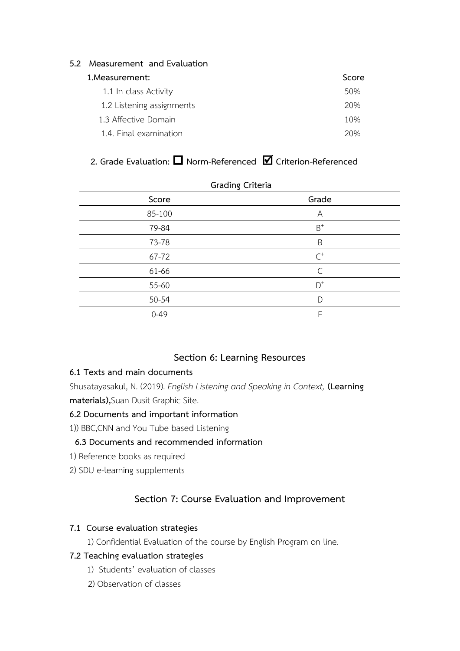## **5.2 Measurement and Evaluation**

### **1.Measurement: Score**

| 50% |
|-----|
| 20% |
| 10% |
| 20% |
|     |

# **2. Grade Evaluation: Norm-Referenced Criterion-Referenced**

| Grading Criteria |                |  |  |  |
|------------------|----------------|--|--|--|
| Score            | Grade          |  |  |  |
| 85-100           | A              |  |  |  |
| 79-84            | $\mbox{B}^+$   |  |  |  |
| 73-78            | B              |  |  |  |
| 67-72            | $\mathsf{C}^+$ |  |  |  |
| 61-66            | C              |  |  |  |
| 55-60            | $D^+$          |  |  |  |
| 50-54            | D              |  |  |  |
| $0 - 49$         | F              |  |  |  |
|                  |                |  |  |  |

## **Grading Criteria**

## **Section 6: Learning Resources**

## **6.1 Texts and main documents**

Shusatayasakul, N. (2019). *English Listening and Speaking in Context,* **(Learning materials),**Suan Dusit Graphic Site.

## **6.2 Documents and important information**

1)) BBC,CNN and You Tube based Listening

## **6.3 Documents and recommended information**

- 1) Reference books as required
- 2) SDU e-learning supplements

## **Section 7: Course Evaluation and Improvement**

## **7.1 Course evaluation strategies**

1) Confidential Evaluation of the course by English Program on line.

## **7.2 Teaching evaluation strategies**

- 1) Students' evaluation of classes
- 2) Observation of classes